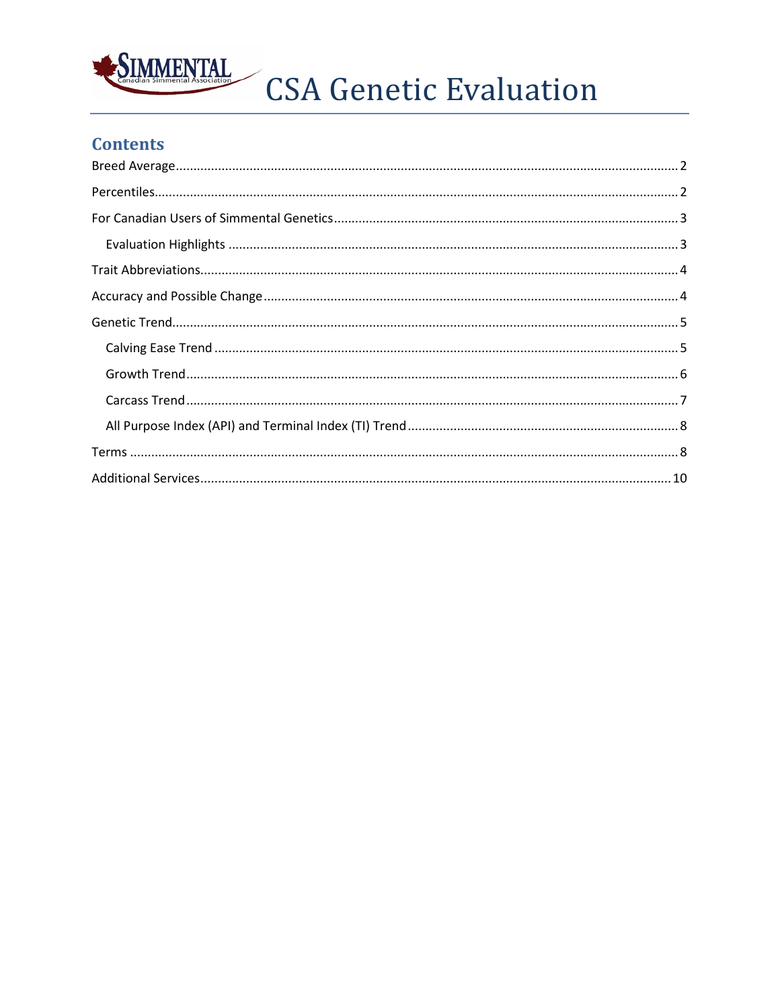

CSA Genetic Evaluation

# **Contents**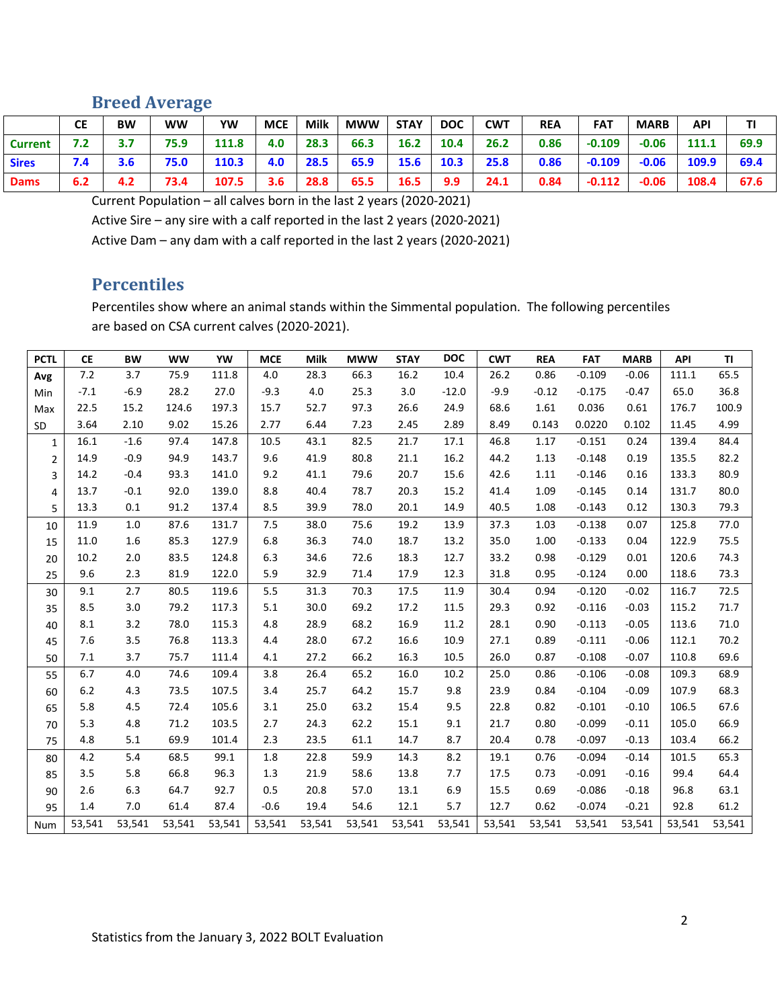## <span id="page-1-0"></span>**Breed Average**

|                | <b>CE</b> | <b>BW</b> | ww   | YW    | <b>MCE</b> | <b>Milk</b> | <b>MWW</b> | <b>STAY</b> | <b>DOC</b> | <b>CWT</b> | <b>REA</b> | <b>FAT</b> | <b>MARB</b> | <b>API</b> |      |
|----------------|-----------|-----------|------|-------|------------|-------------|------------|-------------|------------|------------|------------|------------|-------------|------------|------|
| <b>Current</b> | 7.2       |           | 75.9 | 111.8 | 4.0        | 28.3        | 66.3       | 16.2        | 10.4       | 26.2       | 0.86       | $-0.109$   | $-0.06$     | 111.1      | 69.9 |
| <b>Sires</b>   | 7.4       | 3.6       | 75.0 | 110.3 | 4.0        | 28.5        | 65.9       | 15.6        | 10.3       | 25.8       | 0.86       | $-0.109$   | $-0.06$     | 109.9      | 69.4 |
| <b>Dams</b>    | 6.2       | 4.2       | 73.4 | 107.5 | 3.6        | 28.8        | 65.5       | 16.5        | 9.9        | 24.1       | 0.84       | $-0.112$   | $-0.06$     | 108.4      | 67.6 |

Current Population – all calves born in the last 2 years (2020-2021)

Active Sire – any sire with a calf reported in the last 2 years (2020-2021)

<span id="page-1-1"></span>Active Dam – any dam with a calf reported in the last 2 years (2020-2021)

#### **Percentiles**

Percentiles show where an animal stands within the Simmental population. The following percentiles are based on CSA current calves (2020-2021).

| <b>PCTL</b>    | <b>CE</b> | <b>BW</b> | <b>WW</b> | YW     | <b>MCE</b> | Milk   | <b>MWW</b> | <b>STAY</b> | <b>DOC</b> | <b>CWT</b> | <b>REA</b> | <b>FAT</b> | <b>MARB</b> | API    | TI     |
|----------------|-----------|-----------|-----------|--------|------------|--------|------------|-------------|------------|------------|------------|------------|-------------|--------|--------|
| Avg            | 7.2       | 3.7       | 75.9      | 111.8  | 4.0        | 28.3   | 66.3       | 16.2        | 10.4       | 26.2       | 0.86       | $-0.109$   | $-0.06$     | 111.1  | 65.5   |
| Min            | $-7.1$    | $-6.9$    | 28.2      | 27.0   | $-9.3$     | 4.0    | 25.3       | 3.0         | $-12.0$    | $-9.9$     | $-0.12$    | $-0.175$   | $-0.47$     | 65.0   | 36.8   |
| Max            | 22.5      | 15.2      | 124.6     | 197.3  | 15.7       | 52.7   | 97.3       | 26.6        | 24.9       | 68.6       | 1.61       | 0.036      | 0.61        | 176.7  | 100.9  |
| <b>SD</b>      | 3.64      | 2.10      | 9.02      | 15.26  | 2.77       | 6.44   | 7.23       | 2.45        | 2.89       | 8.49       | 0.143      | 0.0220     | 0.102       | 11.45  | 4.99   |
| $\mathbf{1}$   | 16.1      | $-1.6$    | 97.4      | 147.8  | 10.5       | 43.1   | 82.5       | 21.7        | 17.1       | 46.8       | 1.17       | $-0.151$   | 0.24        | 139.4  | 84.4   |
| $\overline{2}$ | 14.9      | $-0.9$    | 94.9      | 143.7  | 9.6        | 41.9   | 80.8       | 21.1        | 16.2       | 44.2       | 1.13       | $-0.148$   | 0.19        | 135.5  | 82.2   |
| 3              | 14.2      | $-0.4$    | 93.3      | 141.0  | 9.2        | 41.1   | 79.6       | 20.7        | 15.6       | 42.6       | 1.11       | $-0.146$   | 0.16        | 133.3  | 80.9   |
| 4              | 13.7      | $-0.1$    | 92.0      | 139.0  | 8.8        | 40.4   | 78.7       | 20.3        | 15.2       | 41.4       | 1.09       | $-0.145$   | 0.14        | 131.7  | 80.0   |
| 5              | 13.3      | 0.1       | 91.2      | 137.4  | 8.5        | 39.9   | 78.0       | 20.1        | 14.9       | 40.5       | 1.08       | $-0.143$   | 0.12        | 130.3  | 79.3   |
| 10             | 11.9      | 1.0       | 87.6      | 131.7  | 7.5        | 38.0   | 75.6       | 19.2        | 13.9       | 37.3       | 1.03       | $-0.138$   | 0.07        | 125.8  | 77.0   |
| 15             | 11.0      | 1.6       | 85.3      | 127.9  | 6.8        | 36.3   | 74.0       | 18.7        | 13.2       | 35.0       | 1.00       | $-0.133$   | 0.04        | 122.9  | 75.5   |
| 20             | 10.2      | 2.0       | 83.5      | 124.8  | 6.3        | 34.6   | 72.6       | 18.3        | 12.7       | 33.2       | 0.98       | $-0.129$   | 0.01        | 120.6  | 74.3   |
| 25             | 9.6       | 2.3       | 81.9      | 122.0  | 5.9        | 32.9   | 71.4       | 17.9        | 12.3       | 31.8       | 0.95       | $-0.124$   | 0.00        | 118.6  | 73.3   |
| 30             | 9.1       | 2.7       | 80.5      | 119.6  | 5.5        | 31.3   | 70.3       | 17.5        | 11.9       | 30.4       | 0.94       | $-0.120$   | $-0.02$     | 116.7  | 72.5   |
| 35             | 8.5       | 3.0       | 79.2      | 117.3  | 5.1        | 30.0   | 69.2       | 17.2        | 11.5       | 29.3       | 0.92       | $-0.116$   | $-0.03$     | 115.2  | 71.7   |
| 40             | 8.1       | 3.2       | 78.0      | 115.3  | 4.8        | 28.9   | 68.2       | 16.9        | 11.2       | 28.1       | 0.90       | $-0.113$   | $-0.05$     | 113.6  | 71.0   |
| 45             | 7.6       | 3.5       | 76.8      | 113.3  | 4.4        | 28.0   | 67.2       | 16.6        | 10.9       | 27.1       | 0.89       | $-0.111$   | $-0.06$     | 112.1  | 70.2   |
| 50             | 7.1       | 3.7       | 75.7      | 111.4  | 4.1        | 27.2   | 66.2       | 16.3        | 10.5       | 26.0       | 0.87       | $-0.108$   | $-0.07$     | 110.8  | 69.6   |
| 55             | 6.7       | 4.0       | 74.6      | 109.4  | 3.8        | 26.4   | 65.2       | 16.0        | 10.2       | 25.0       | 0.86       | $-0.106$   | $-0.08$     | 109.3  | 68.9   |
| 60             | 6.2       | 4.3       | 73.5      | 107.5  | 3.4        | 25.7   | 64.2       | 15.7        | 9.8        | 23.9       | 0.84       | $-0.104$   | $-0.09$     | 107.9  | 68.3   |
| 65             | 5.8       | 4.5       | 72.4      | 105.6  | 3.1        | 25.0   | 63.2       | 15.4        | 9.5        | 22.8       | 0.82       | $-0.101$   | $-0.10$     | 106.5  | 67.6   |
| 70             | 5.3       | 4.8       | 71.2      | 103.5  | 2.7        | 24.3   | 62.2       | 15.1        | 9.1        | 21.7       | 0.80       | $-0.099$   | $-0.11$     | 105.0  | 66.9   |
| 75             | 4.8       | 5.1       | 69.9      | 101.4  | 2.3        | 23.5   | 61.1       | 14.7        | 8.7        | 20.4       | 0.78       | $-0.097$   | $-0.13$     | 103.4  | 66.2   |
| 80             | 4.2       | 5.4       | 68.5      | 99.1   | 1.8        | 22.8   | 59.9       | 14.3        | 8.2        | 19.1       | 0.76       | $-0.094$   | $-0.14$     | 101.5  | 65.3   |
| 85             | 3.5       | 5.8       | 66.8      | 96.3   | 1.3        | 21.9   | 58.6       | 13.8        | 7.7        | 17.5       | 0.73       | $-0.091$   | $-0.16$     | 99.4   | 64.4   |
| 90             | 2.6       | 6.3       | 64.7      | 92.7   | 0.5        | 20.8   | 57.0       | 13.1        | 6.9        | 15.5       | 0.69       | $-0.086$   | $-0.18$     | 96.8   | 63.1   |
| 95             | 1.4       | 7.0       | 61.4      | 87.4   | $-0.6$     | 19.4   | 54.6       | 12.1        | 5.7        | 12.7       | 0.62       | $-0.074$   | $-0.21$     | 92.8   | 61.2   |
| <b>Num</b>     | 53,541    | 53,541    | 53,541    | 53,541 | 53,541     | 53,541 | 53,541     | 53,541      | 53,541     | 53,541     | 53,541     | 53,541     | 53,541      | 53,541 | 53,541 |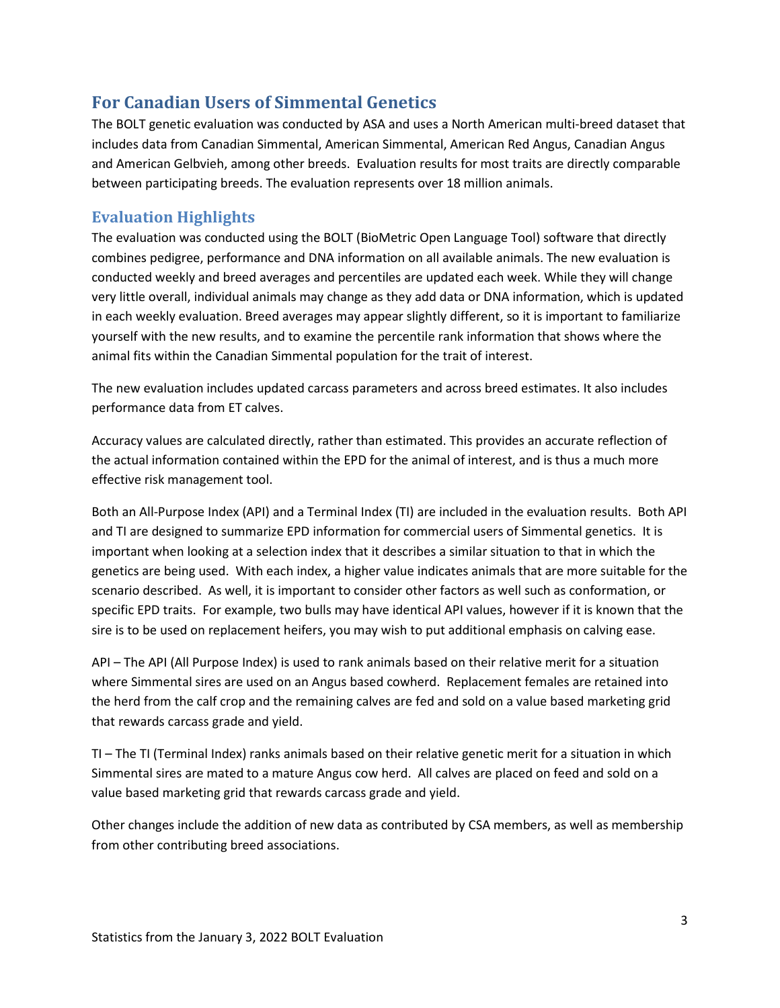## <span id="page-2-0"></span>**For Canadian Users of Simmental Genetics**

The BOLT genetic evaluation was conducted by ASA and uses a North American multi-breed dataset that includes data from Canadian Simmental, American Simmental, American Red Angus, Canadian Angus and American Gelbvieh, among other breeds. Evaluation results for most traits are directly comparable between participating breeds. The evaluation represents over 18 million animals.

#### <span id="page-2-1"></span>**Evaluation Highlights**

The evaluation was conducted using the BOLT (BioMetric Open Language Tool) software that directly combines pedigree, performance and DNA information on all available animals. The new evaluation is conducted weekly and breed averages and percentiles are updated each week. While they will change very little overall, individual animals may change as they add data or DNA information, which is updated in each weekly evaluation. Breed averages may appear slightly different, so it is important to familiarize yourself with the new results, and to examine the percentile rank information that shows where the animal fits within the Canadian Simmental population for the trait of interest.

The new evaluation includes updated carcass parameters and across breed estimates. It also includes performance data from ET calves.

Accuracy values are calculated directly, rather than estimated. This provides an accurate reflection of the actual information contained within the EPD for the animal of interest, and is thus a much more effective risk management tool.

Both an All-Purpose Index (API) and a Terminal Index (TI) are included in the evaluation results. Both API and TI are designed to summarize EPD information for commercial users of Simmental genetics. It is important when looking at a selection index that it describes a similar situation to that in which the genetics are being used. With each index, a higher value indicates animals that are more suitable for the scenario described. As well, it is important to consider other factors as well such as conformation, or specific EPD traits. For example, two bulls may have identical API values, however if it is known that the sire is to be used on replacement heifers, you may wish to put additional emphasis on calving ease.

API – The API (All Purpose Index) is used to rank animals based on their relative merit for a situation where Simmental sires are used on an Angus based cowherd. Replacement females are retained into the herd from the calf crop and the remaining calves are fed and sold on a value based marketing grid that rewards carcass grade and yield.

TI – The TI (Terminal Index) ranks animals based on their relative genetic merit for a situation in which Simmental sires are mated to a mature Angus cow herd. All calves are placed on feed and sold on a value based marketing grid that rewards carcass grade and yield.

Other changes include the addition of new data as contributed by CSA members, as well as membership from other contributing breed associations.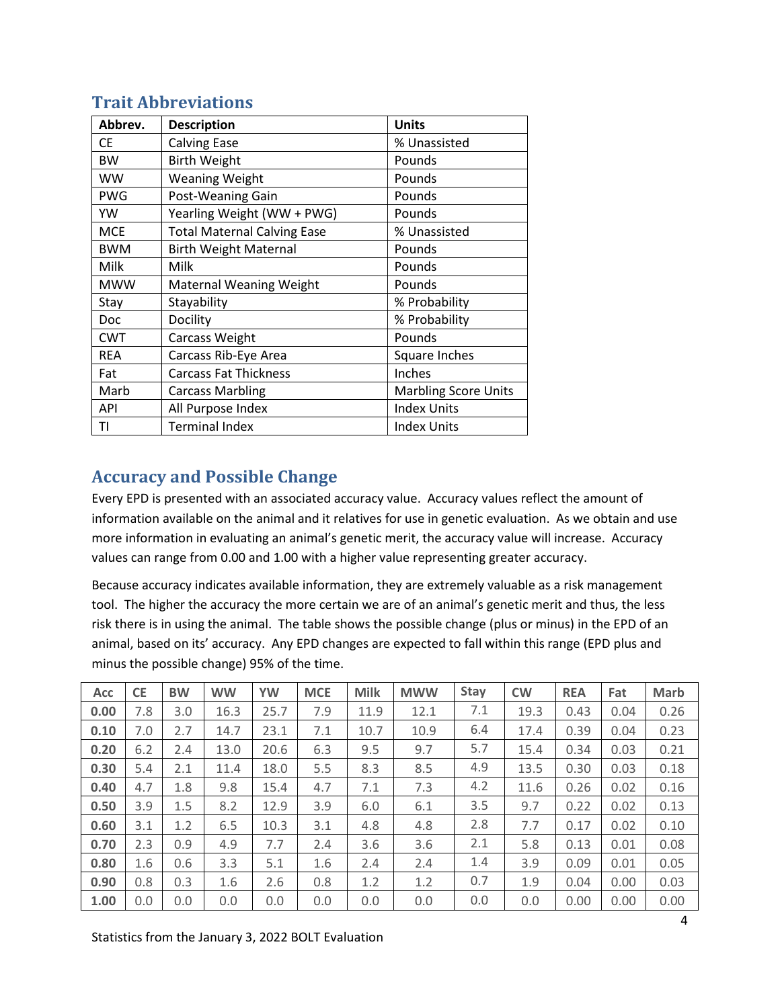<span id="page-3-0"></span>

| <b>Trait Abbreviations</b> |  |
|----------------------------|--|
|                            |  |

| Abbrev.    | <b>Description</b>                 | <b>Units</b>                |
|------------|------------------------------------|-----------------------------|
| СE         | <b>Calving Ease</b>                | % Unassisted                |
| <b>BW</b>  | <b>Birth Weight</b>                | Pounds                      |
| WW         | <b>Weaning Weight</b>              | Pounds                      |
| <b>PWG</b> | Post-Weaning Gain                  | Pounds                      |
| YW         | Yearling Weight (WW + PWG)         | Pounds                      |
| <b>MCE</b> | <b>Total Maternal Calving Ease</b> | % Unassisted                |
| <b>BWM</b> | <b>Birth Weight Maternal</b>       | Pounds                      |
| Milk       | Milk                               | Pounds                      |
| <b>MWW</b> | <b>Maternal Weaning Weight</b>     | Pounds                      |
| Stay       | Stayability                        | % Probability               |
| Doc        | Docility                           | % Probability               |
| <b>CWT</b> | Carcass Weight                     | Pounds                      |
| <b>REA</b> | Carcass Rib-Eye Area               | Square Inches               |
| Fat        | <b>Carcass Fat Thickness</b>       | Inches                      |
| Marb       | <b>Carcass Marbling</b>            | <b>Marbling Score Units</b> |
| API        | All Purpose Index                  | <b>Index Units</b>          |
| TI         | <b>Terminal Index</b>              | <b>Index Units</b>          |

## <span id="page-3-1"></span>**Accuracy and Possible Change**

Every EPD is presented with an associated accuracy value. Accuracy values reflect the amount of information available on the animal and it relatives for use in genetic evaluation. As we obtain and use more information in evaluating an animal's genetic merit, the accuracy value will increase. Accuracy values can range from 0.00 and 1.00 with a higher value representing greater accuracy.

Because accuracy indicates available information, they are extremely valuable as a risk management tool. The higher the accuracy the more certain we are of an animal's genetic merit and thus, the less risk there is in using the animal. The table shows the possible change (plus or minus) in the EPD of an animal, based on its' accuracy. Any EPD changes are expected to fall within this range (EPD plus and minus the possible change) 95% of the time.

| <b>Acc</b> | <b>CE</b> | <b>BW</b> | <b>WW</b> | <b>YW</b> | <b>MCE</b> | <b>Milk</b> | <b>MWW</b> | <b>Stay</b> | <b>CW</b> | <b>REA</b> | Fat  | <b>Marb</b> |
|------------|-----------|-----------|-----------|-----------|------------|-------------|------------|-------------|-----------|------------|------|-------------|
| 0.00       | 7.8       | 3.0       | 16.3      | 25.7      | 7.9        | 11.9        | 12.1       | 7.1         | 19.3      | 0.43       | 0.04 | 0.26        |
| 0.10       | 7.0       | 2.7       | 14.7      | 23.1      | 7.1        | 10.7        | 10.9       | 6.4         | 17.4      | 0.39       | 0.04 | 0.23        |
| 0.20       | 6.2       | 2.4       | 13.0      | 20.6      | 6.3        | 9.5         | 9.7        | 5.7         | 15.4      | 0.34       | 0.03 | 0.21        |
| 0.30       | 5.4       | 2.1       | 11.4      | 18.0      | 5.5        | 8.3         | 8.5        | 4.9         | 13.5      | 0.30       | 0.03 | 0.18        |
| 0.40       | 4.7       | 1.8       | 9.8       | 15.4      | 4.7        | 7.1         | 7.3        | 4.2         | 11.6      | 0.26       | 0.02 | 0.16        |
| 0.50       | 3.9       | 1.5       | 8.2       | 12.9      | 3.9        | 6.0         | 6.1        | 3.5         | 9.7       | 0.22       | 0.02 | 0.13        |
| 0.60       | 3.1       | 1.2       | 6.5       | 10.3      | 3.1        | 4.8         | 4.8        | 2.8         | 7.7       | 0.17       | 0.02 | 0.10        |
| 0.70       | 2.3       | 0.9       | 4.9       | 7.7       | 2.4        | 3.6         | 3.6        | 2.1         | 5.8       | 0.13       | 0.01 | 0.08        |
| 0.80       | 1.6       | 0.6       | 3.3       | 5.1       | 1.6        | 2.4         | 2.4        | 1.4         | 3.9       | 0.09       | 0.01 | 0.05        |
| 0.90       | 0.8       | 0.3       | 1.6       | 2.6       | 0.8        | 1.2         | 1.2        | 0.7         | 1.9       | 0.04       | 0.00 | 0.03        |
| 1.00       | 0.0       | 0.0       | 0.0       | 0.0       | 0.0        | 0.0         | 0.0        | 0.0         | 0.0       | 0.00       | 0.00 | 0.00        |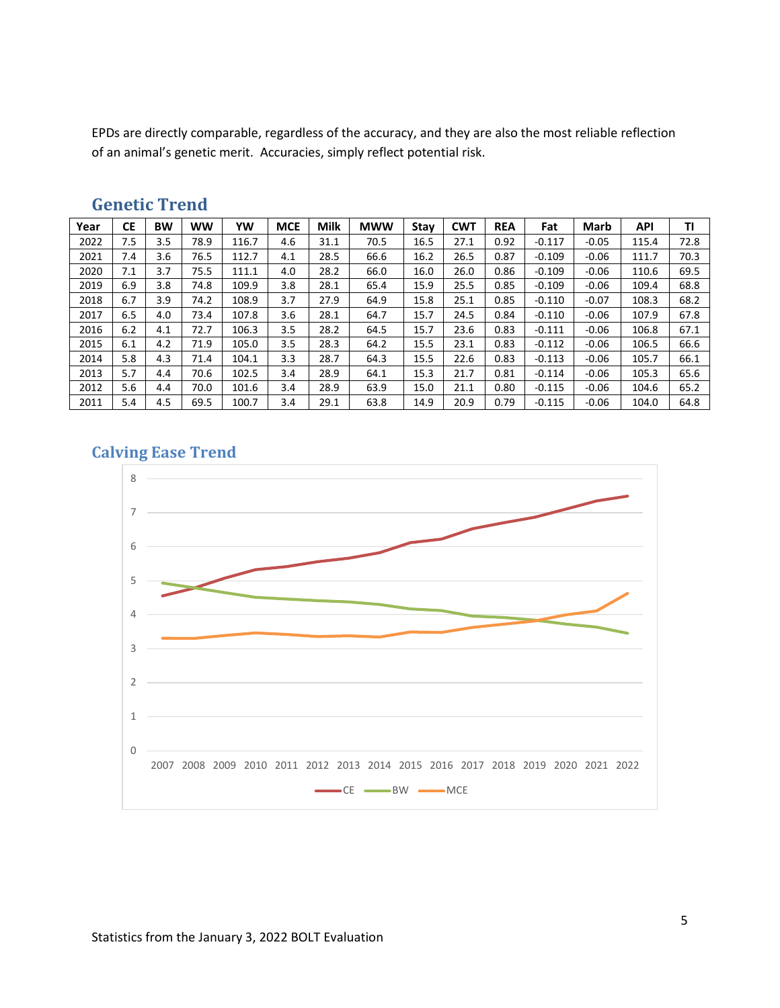EPDs are directly comparable, regardless of the accuracy, and they are also the most reliable reflection of an animal's genetic merit. Accuracies, simply reflect potential risk.

| Year | <b>CE</b> | <b>BW</b> | <b>WW</b> | YW    | <b>MCE</b> | <b>Milk</b> | <b>MWW</b> | Stay | <b>CWT</b> | <b>REA</b> | Fat      | <b>Marb</b> | <b>API</b> | ΤI   |
|------|-----------|-----------|-----------|-------|------------|-------------|------------|------|------------|------------|----------|-------------|------------|------|
| 2022 | 7.5       | 3.5       | 78.9      | 116.7 | 4.6        | 31.1        | 70.5       | 16.5 | 27.1       | 0.92       | $-0.117$ | $-0.05$     | 115.4      | 72.8 |
| 2021 | 7.4       | 3.6       | 76.5      | 112.7 | 4.1        | 28.5        | 66.6       | 16.2 | 26.5       | 0.87       | $-0.109$ | $-0.06$     | 111.7      | 70.3 |
| 2020 | 7.1       | 3.7       | 75.5      | 111.1 | 4.0        | 28.2        | 66.0       | 16.0 | 26.0       | 0.86       | $-0.109$ | $-0.06$     | 110.6      | 69.5 |
| 2019 | 6.9       | 3.8       | 74.8      | 109.9 | 3.8        | 28.1        | 65.4       | 15.9 | 25.5       | 0.85       | $-0.109$ | $-0.06$     | 109.4      | 68.8 |
| 2018 | 6.7       | 3.9       | 74.2      | 108.9 | 3.7        | 27.9        | 64.9       | 15.8 | 25.1       | 0.85       | $-0.110$ | $-0.07$     | 108.3      | 68.2 |
| 2017 | 6.5       | 4.0       | 73.4      | 107.8 | 3.6        | 28.1        | 64.7       | 15.7 | 24.5       | 0.84       | $-0.110$ | $-0.06$     | 107.9      | 67.8 |
| 2016 | 6.2       | 4.1       | 72.7      | 106.3 | 3.5        | 28.2        | 64.5       | 15.7 | 23.6       | 0.83       | $-0.111$ | $-0.06$     | 106.8      | 67.1 |
| 2015 | 6.1       | 4.2       | 71.9      | 105.0 | 3.5        | 28.3        | 64.2       | 15.5 | 23.1       | 0.83       | $-0.112$ | $-0.06$     | 106.5      | 66.6 |
| 2014 | 5.8       | 4.3       | 71.4      | 104.1 | 3.3        | 28.7        | 64.3       | 15.5 | 22.6       | 0.83       | $-0.113$ | $-0.06$     | 105.7      | 66.1 |
| 2013 | 5.7       | 4.4       | 70.6      | 102.5 | 3.4        | 28.9        | 64.1       | 15.3 | 21.7       | 0.81       | $-0.114$ | $-0.06$     | 105.3      | 65.6 |
| 2012 | 5.6       | 4.4       | 70.0      | 101.6 | 3.4        | 28.9        | 63.9       | 15.0 | 21.1       | 0.80       | $-0.115$ | $-0.06$     | 104.6      | 65.2 |
| 2011 | 5.4       | 4.5       | 69.5      | 100.7 | 3.4        | 29.1        | 63.8       | 14.9 | 20.9       | 0.79       | $-0.115$ | $-0.06$     | 104.0      | 64.8 |

#### <span id="page-4-0"></span>**Genetic Trend**

#### <span id="page-4-1"></span>**Calving Ease Trend**

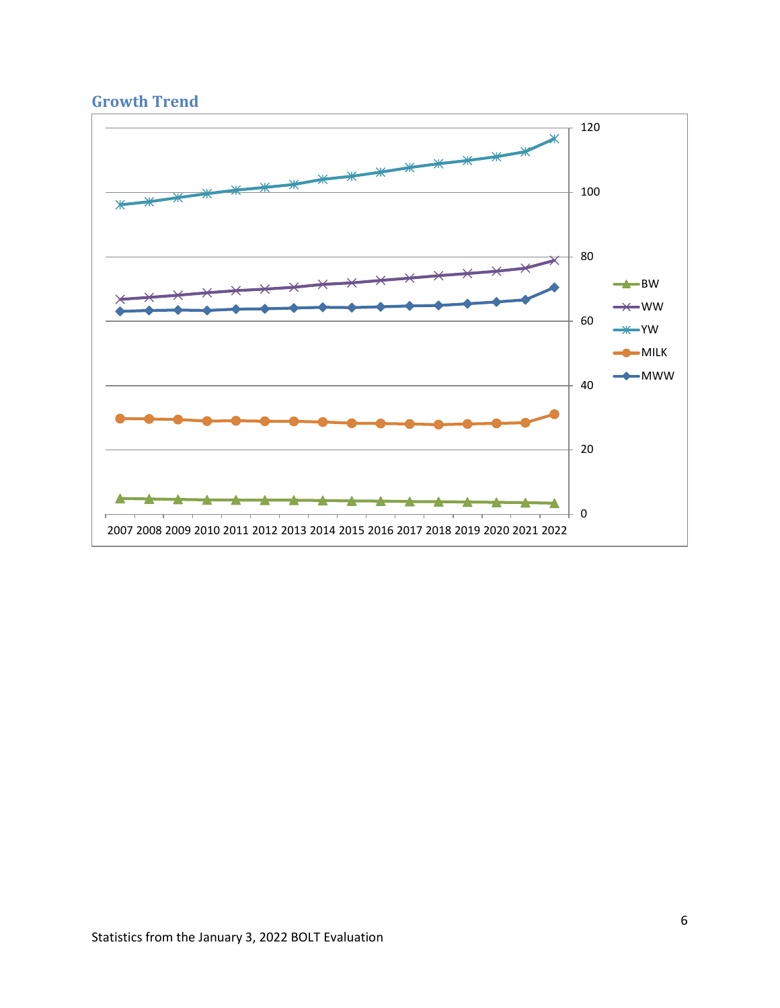## <span id="page-5-0"></span>**Growth Trend**

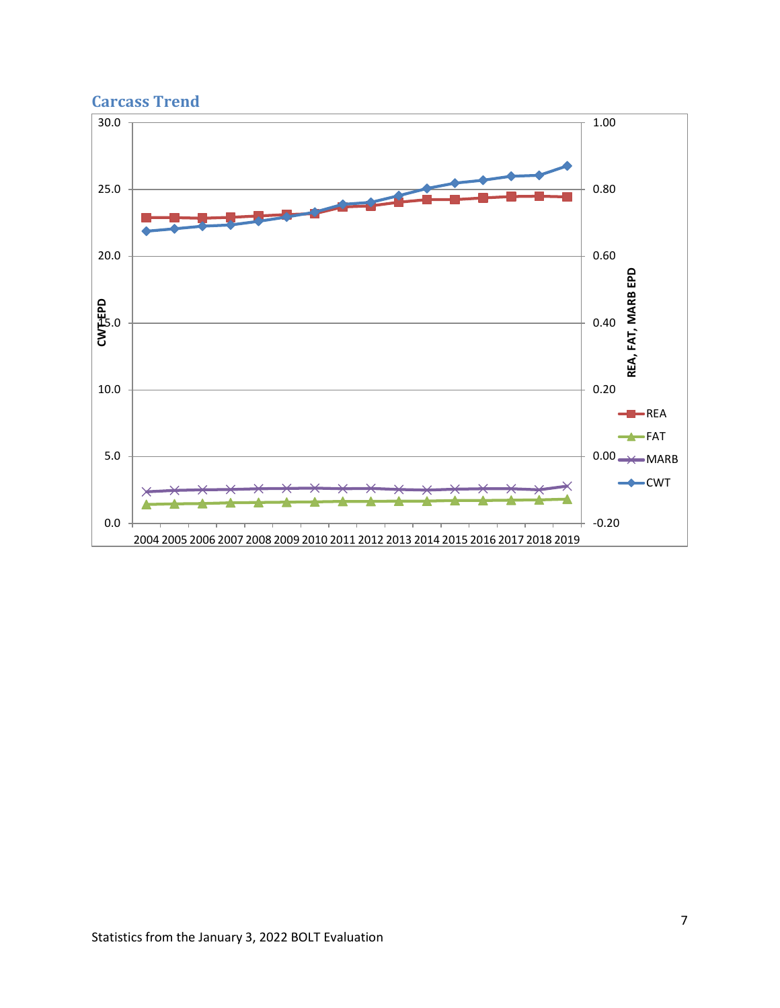

### <span id="page-6-0"></span>**Carcass Trend**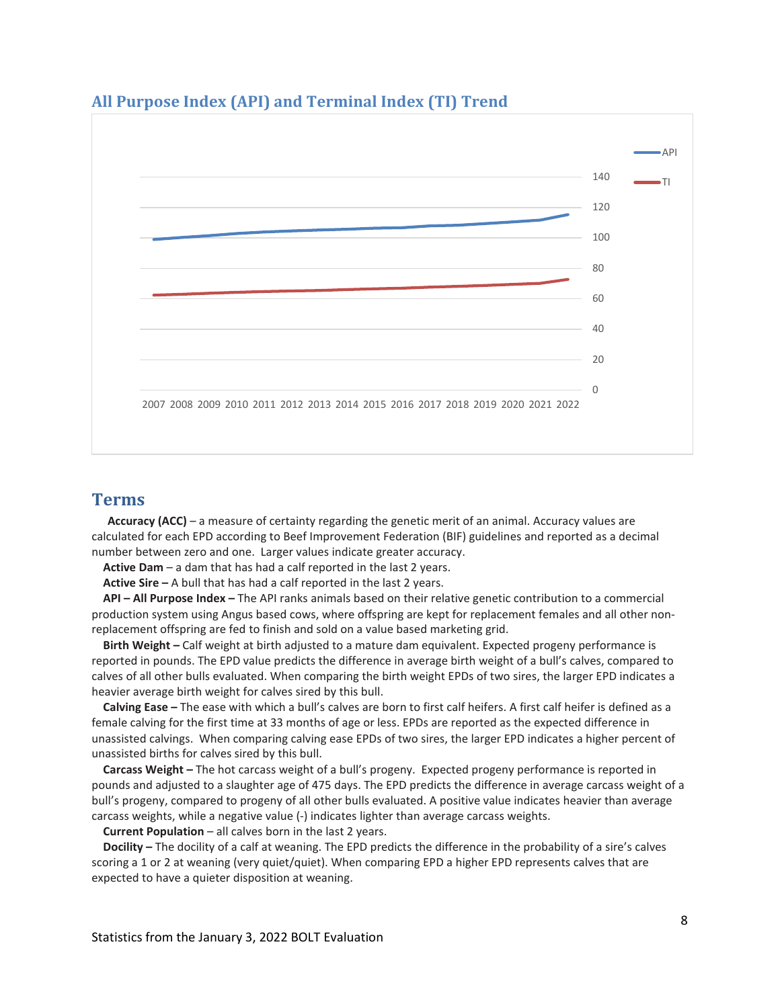

#### <span id="page-7-0"></span>**All Purpose Index (API) and Terminal Index (TI) Trend**

#### <span id="page-7-1"></span>**Terms**

**Accuracy (ACC)** – a measure of certainty regarding the genetic merit of an animal. Accuracy values are calculated for each EPD according to Beef Improvement Federation (BIF) guidelines and reported as a decimal number between zero and one. Larger values indicate greater accuracy.

**Active Dam** – a dam that has had a calf reported in the last 2 years.

**Active Sire –** A bull that has had a calf reported in the last 2 years.

**API – All Purpose Index –** The API ranks animals based on their relative genetic contribution to a commercial production system using Angus based cows, where offspring are kept for replacement females and all other nonreplacement offspring are fed to finish and sold on a value based marketing grid.

**Birth Weight –** Calf weight at birth adjusted to a mature dam equivalent. Expected progeny performance is reported in pounds. The EPD value predicts the difference in average birth weight of a bull's calves, compared to calves of all other bulls evaluated. When comparing the birth weight EPDs of two sires, the larger EPD indicates a heavier average birth weight for calves sired by this bull.

**Calving Ease –** The ease with which a bull's calves are born to first calf heifers. A first calf heifer is defined as a female calving for the first time at 33 months of age or less. EPDs are reported as the expected difference in unassisted calvings. When comparing calving ease EPDs of two sires, the larger EPD indicates a higher percent of unassisted births for calves sired by this bull.

**Carcass Weight –** The hot carcass weight of a bull's progeny. Expected progeny performance is reported in pounds and adjusted to a slaughter age of 475 days. The EPD predicts the difference in average carcass weight of a bull's progeny, compared to progeny of all other bulls evaluated. A positive value indicates heavier than average carcass weights, while a negative value (-) indicates lighter than average carcass weights.

**Current Population** – all calves born in the last 2 years.

**Docility –** The docility of a calf at weaning. The EPD predicts the difference in the probability of a sire's calves scoring a 1 or 2 at weaning (very quiet/quiet). When comparing EPD a higher EPD represents calves that are expected to have a quieter disposition at weaning.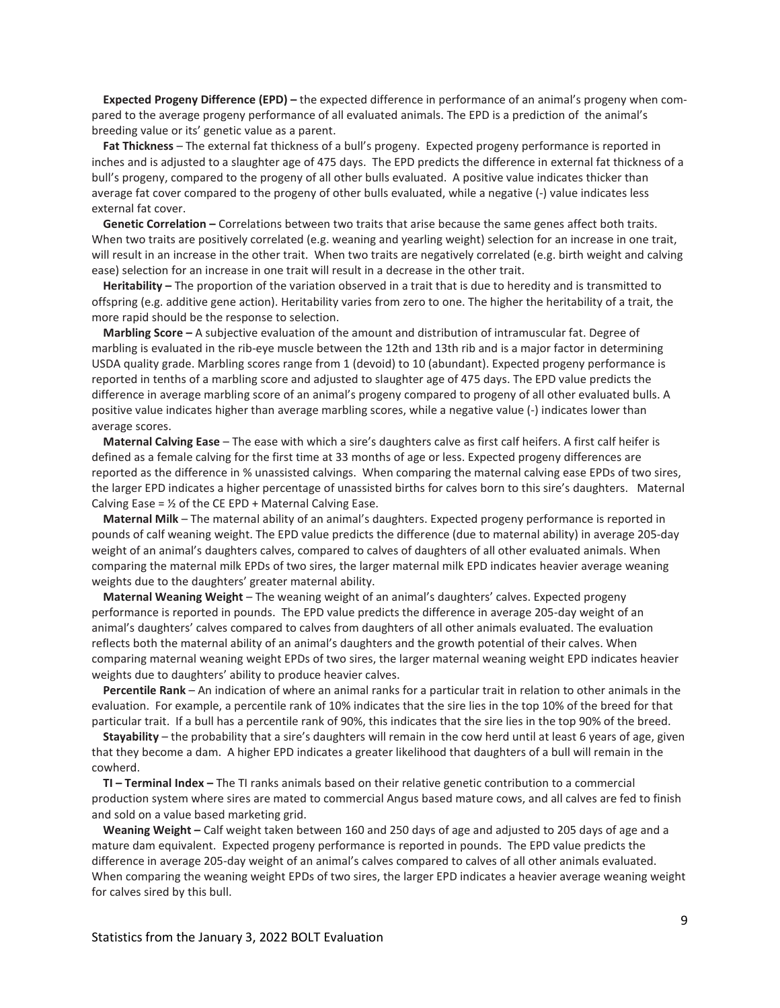**Expected Progeny Difference (EPD) –** the expected difference in performance of an animal's progeny when compared to the average progeny performance of all evaluated animals. The EPD is a prediction of the animal's breeding value or its' genetic value as a parent.

**Fat Thickness** – The external fat thickness of a bull's progeny. Expected progeny performance is reported in inches and is adjusted to a slaughter age of 475 days. The EPD predicts the difference in external fat thickness of a bull's progeny, compared to the progeny of all other bulls evaluated. A positive value indicates thicker than average fat cover compared to the progeny of other bulls evaluated, while a negative (-) value indicates less external fat cover.

**Genetic Correlation –** Correlations between two traits that arise because the same genes affect both traits. When two traits are positively correlated (e.g. weaning and yearling weight) selection for an increase in one trait, will result in an increase in the other trait. When two traits are negatively correlated (e.g. birth weight and calving ease) selection for an increase in one trait will result in a decrease in the other trait.

**Heritability –** The proportion of the variation observed in a trait that is due to heredity and is transmitted to offspring (e.g. additive gene action). Heritability varies from zero to one. The higher the heritability of a trait, the more rapid should be the response to selection.

**Marbling Score –** A subjective evaluation of the amount and distribution of intramuscular fat. Degree of marbling is evaluated in the rib-eye muscle between the 12th and 13th rib and is a major factor in determining USDA quality grade. Marbling scores range from 1 (devoid) to 10 (abundant). Expected progeny performance is reported in tenths of a marbling score and adjusted to slaughter age of 475 days. The EPD value predicts the difference in average marbling score of an animal's progeny compared to progeny of all other evaluated bulls. A positive value indicates higher than average marbling scores, while a negative value (-) indicates lower than average scores.

**Maternal Calving Ease** – The ease with which a sire's daughters calve as first calf heifers. A first calf heifer is defined as a female calving for the first time at 33 months of age or less. Expected progeny differences are reported as the difference in % unassisted calvings. When comparing the maternal calving ease EPDs of two sires, the larger EPD indicates a higher percentage of unassisted births for calves born to this sire's daughters. Maternal Calving Ease =  $\frac{1}{2}$  of the CE EPD + Maternal Calving Ease.

**Maternal Milk** – The maternal ability of an animal's daughters. Expected progeny performance is reported in pounds of calf weaning weight. The EPD value predicts the difference (due to maternal ability) in average 205-day weight of an animal's daughters calves, compared to calves of daughters of all other evaluated animals. When comparing the maternal milk EPDs of two sires, the larger maternal milk EPD indicates heavier average weaning weights due to the daughters' greater maternal ability.

**Maternal Weaning Weight** – The weaning weight of an animal's daughters' calves. Expected progeny performance is reported in pounds. The EPD value predicts the difference in average 205-day weight of an animal's daughters' calves compared to calves from daughters of all other animals evaluated. The evaluation reflects both the maternal ability of an animal's daughters and the growth potential of their calves. When comparing maternal weaning weight EPDs of two sires, the larger maternal weaning weight EPD indicates heavier weights due to daughters' ability to produce heavier calves.

**Percentile Rank** – An indication of where an animal ranks for a particular trait in relation to other animals in the evaluation. For example, a percentile rank of 10% indicates that the sire lies in the top 10% of the breed for that particular trait. If a bull has a percentile rank of 90%, this indicates that the sire lies in the top 90% of the breed.

**Stayability** – the probability that a sire's daughters will remain in the cow herd until at least 6 years of age, given that they become a dam. A higher EPD indicates a greater likelihood that daughters of a bull will remain in the cowherd.

**TI – Terminal Index –** The TI ranks animals based on their relative genetic contribution to a commercial production system where sires are mated to commercial Angus based mature cows, and all calves are fed to finish and sold on a value based marketing grid.

**Weaning Weight –** Calf weight taken between 160 and 250 days of age and adjusted to 205 days of age and a mature dam equivalent. Expected progeny performance is reported in pounds. The EPD value predicts the difference in average 205-day weight of an animal's calves compared to calves of all other animals evaluated. When comparing the weaning weight EPDs of two sires, the larger EPD indicates a heavier average weaning weight for calves sired by this bull.